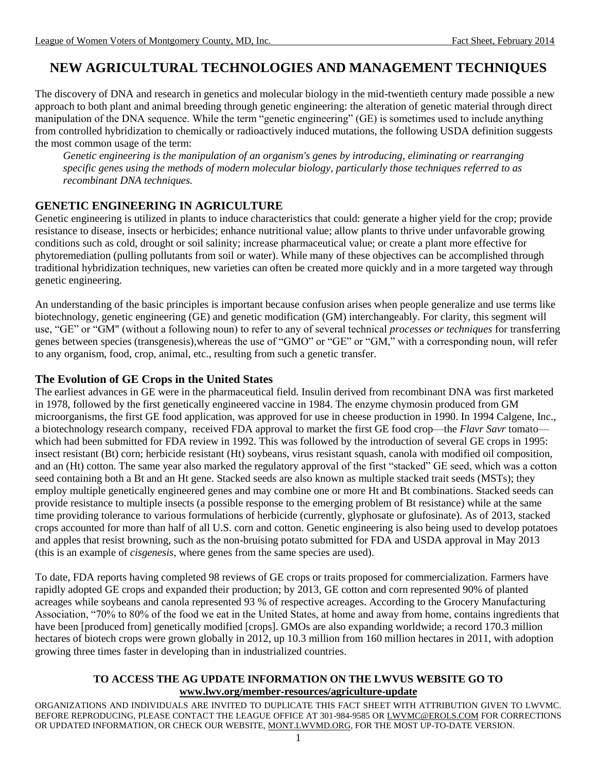# **NEW AGRICULTURAL TECHNOLOGIES AND MANAGEMENT TECHNIQUES**

The discovery of DNA and research in genetics and molecular biology in the mid-twentieth century made possible a new approach to both plant and animal breeding through genetic engineering: the alteration of genetic material through direct manipulation of the DNA sequence. While the term "genetic engineering" (GE) is sometimes used to include anything from controlled hybridization to chemically or radioactively induced mutations, the following USDA definition suggests the most common usage of the term:

*Genetic engineering is the manipulation of an organism's genes by introducing, eliminating or rearranging specific genes using the methods of modern molecular biology, particularly those techniques referred to as recombinant DNA techniques.*

# **GENETIC ENGINEERING IN AGRICULTURE**

Genetic engineering is utilized in plants to induce characteristics that could: generate a higher yield for the crop; provide resistance to disease, insects or herbicides; enhance nutritional value; allow plants to thrive under unfavorable growing conditions such as cold, drought or soil salinity; increase pharmaceutical value; or create a plant more effective for phytoremediation (pulling pollutants from soil or water). While many of these objectives can be accomplished through traditional hybridization techniques, new varieties can often be created more quickly and in a more targeted way through genetic engineering.

An understanding of the basic principles is important because confusion arises when people generalize and use terms like biotechnology, genetic engineering (GE) and genetic modification (GM) interchangeably. For clarity, this segment will use, "GE" or "GM" (without a following noun) to refer to any of several technical *processes or techniques* for transferring genes between species (transgenesis),whereas the use of "GMO" or "GE" or "GM," with a corresponding noun, will refer to any organism, food, crop, animal, etc., resulting from such a genetic transfer.

# **The Evolution of GE Crops in the United States**

The earliest advances in GE were in the pharmaceutical field. Insulin derived from recombinant DNA was first marketed in 1978, followed by the first genetically engineered vaccine in 1984. The enzyme chymosin produced from GM microorganisms, the first GE food application, was approved for use in cheese production in 1990. In 1994 Calgene, Inc., a biotechnology research company, received FDA approval to market the first GE food crop—the *Flavr Savr* tomato which had been submitted for FDA review in 1992. This was followed by the introduction of several GE crops in 1995: insect resistant (Bt) corn; herbicide resistant (Ht) soybeans, virus resistant squash, canola with modified oil composition, and an (Ht) cotton. The same year also marked the regulatory approval of the first "stacked" GE seed, which was a cotton seed containing both a Bt and an Ht gene. Stacked seeds are also known as multiple stacked trait seeds (MSTs); they employ multiple genetically engineered genes and may combine one or more Ht and Bt combinations. Stacked seeds can provide resistance to multiple insects (a possible response to the emerging problem of Bt resistance) while at the same time providing tolerance to various formulations of herbicide (currently, glyphosate or glufosinate). As of 2013, stacked crops accounted for more than half of all U.S. corn and cotton. Genetic engineering is also being used to develop potatoes and apples that resist browning, such as the non-bruising potato submitted for FDA and USDA approval in May 2013 (this is an example of *cisgenesis*, where genes from the same species are used).

To date, FDA reports having completed 98 reviews of GE crops or traits proposed for commercialization. Farmers have rapidly adopted GE crops and expanded their production; by 2013, GE cotton and corn represented 90% of planted acreages while soybeans and canola represented 93 % of respective acreages. According to the Grocery Manufacturing Association, "70% to 80% of the food we eat in the United States, at home and away from home, contains ingredients that have been [produced from] genetically modified [crops]. GMOs are also expanding worldwide; a record 170.3 million hectares of biotech crops were grown globally in 2012, up 10.3 million from 160 million hectares in 2011, with adoption growing three times faster in developing than in industrialized countries.

#### **TO ACCESS THE AG UPDATE INFORMATION ON THE LWVUS WEBSITE GO TO [www.lwv.org/member-resources/agriculture-update](http://www.lwv.org/member-resources/agriculture-update)**

ORGANIZATIONS AND INDIVIDUALS ARE INVITED TO DUPLICATE THIS FACT SHEET WITH ATTRIBUTION GIVEN TO LWVMC. BEFORE REPRODUCING, PLEASE CONTACT THE LEAGUE OFFICE AT 301-984-9585 OR [LWVMC@EROLS.COM](mailto:LWVMC@EROLS.COM) FOR CORRECTIONS OR UPDATED INFORMATION, OR CHECK OUR WEBSITE[, MONT.LWVMD.ORG,](http://mont.lwvmd.org/) FOR THE MOST UP-TO-DATE VERSION.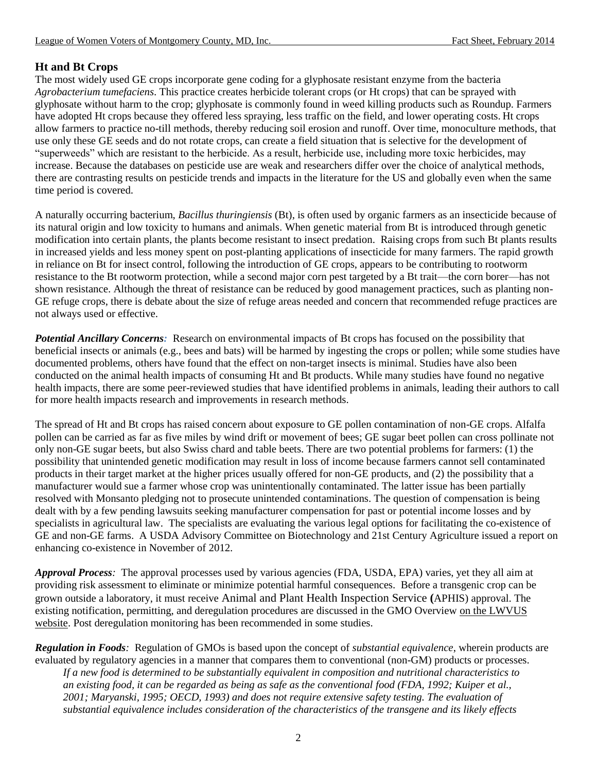# **Ht and Bt Crops**

The most widely used GE crops incorporate gene coding for a glyphosate resistant enzyme from the bacteria *Agrobacterium tumefaciens*. This practice creates herbicide tolerant crops (or Ht crops) that can be sprayed with glyphosate without harm to the crop; glyphosate is commonly found in weed killing products such as Roundup. Farmers have adopted Ht crops because they offered less spraying, less traffic on the field, and lower operating costs. Ht crops allow farmers to practice no-till methods, thereby reducing soil erosion and runoff. Over time, monoculture methods, that use only these GE seeds and do not rotate crops, can create a field situation that is selective for the development of "superweeds" which are resistant to the herbicide. As a result, herbicide use, including more toxic herbicides, may increase. Because the databases on pesticide use are weak and researchers differ over the choice of analytical methods, there are contrasting results on pesticide trends and impacts in the literature for the US and globally even when the same time period is covered.

A naturally occurring bacterium, *Bacillus thuringiensis* (Bt), is often used by organic farmers as an insecticide because of its natural origin and low toxicity to humans and animals. When genetic material from Bt is introduced through genetic modification into certain plants, the plants become resistant to insect predation. Raising crops from such Bt plants results in increased yields and less money spent on post-planting applications of insecticide for many farmers. The rapid growth in reliance on Bt for insect control, following the introduction of GE crops, appears to be contributing to rootworm resistance to the Bt rootworm protection, while a second major corn pest targeted by a Bt trait—the corn borer—has not shown resistance. Although the threat of resistance can be reduced by good management practices, such as planting non-GE refuge crops, there is debate about the size of refuge areas needed and concern that recommended refuge practices are not always used or effective.

*Potential Ancillary Concerns:* Research on environmental impacts of Bt crops has focused on the possibility that beneficial insects or animals (e.g., bees and bats) will be harmed by ingesting the crops or pollen; while some studies have documented problems, others have found that the effect on non-target insects is minimal. Studies have also been conducted on the animal health impacts of consuming Ht and Bt products. While many studies have found no negative health impacts, there are some peer-reviewed studies that have identified problems in animals, leading their authors to call for more health impacts research and improvements in research methods.

The spread of Ht and Bt crops has raised concern about exposure to GE pollen contamination of non-GE crops. Alfalfa pollen can be carried as far as five miles by wind drift or movement of bees; GE sugar beet pollen can cross pollinate not only non-GE sugar beets, but also Swiss chard and table beets. There are two potential problems for farmers: (1) the possibility that unintended genetic modification may result in loss of income because farmers cannot sell contaminated products in their target market at the higher prices usually offered for non-GE products, and (2) the possibility that a manufacturer would sue a farmer whose crop was unintentionally contaminated. The latter issue has been partially resolved with Monsanto pledging not to prosecute unintended contaminations. The question of compensation is being dealt with by a few pending lawsuits seeking manufacturer compensation for past or potential income losses and by specialists in agricultural law. The specialists are evaluating the various legal options for facilitating the co-existence of GE and non-GE farms. A USDA Advisory Committee on Biotechnology and 21st Century Agriculture issued a report on enhancing co-existence in November of 2012.

*Approval Process:* The approval processes used by various agencies (FDA, USDA, EPA) varies, yet they all aim at providing risk assessment to eliminate or minimize potential harmful consequences. Before a transgenic crop can be grown outside a laboratory, it must receive Animal and Plant Health Inspection Service **(**APHIS) approval. The existing notification, permitting, and deregulation procedures are discussed in the GMO Overview [on the LWVUS](http://www.lwv.org/content/genetic-engineering-and-genetically-modified-organisms-food-system)  [website.](http://www.lwv.org/content/genetic-engineering-and-genetically-modified-organisms-food-system) Post deregulation monitoring has been recommended in some studies.

*Regulation in Foods:* Regulation of GMOs is based upon the concept of *substantial equivalence*, wherein products are evaluated by regulatory agencies in a manner that compares them to conventional (non-GM) products or processes. *If a new food is determined to be substantially equivalent in composition and nutritional characteristics to an existing food, it can be regarded as being as safe as the conventional food (FDA, 1992; Kuiper et al., 2001; Maryanski, 1995; OECD, 1993) and does not require extensive safety testing. The evaluation of substantial equivalence includes consideration of the characteristics of the transgene and its likely effects*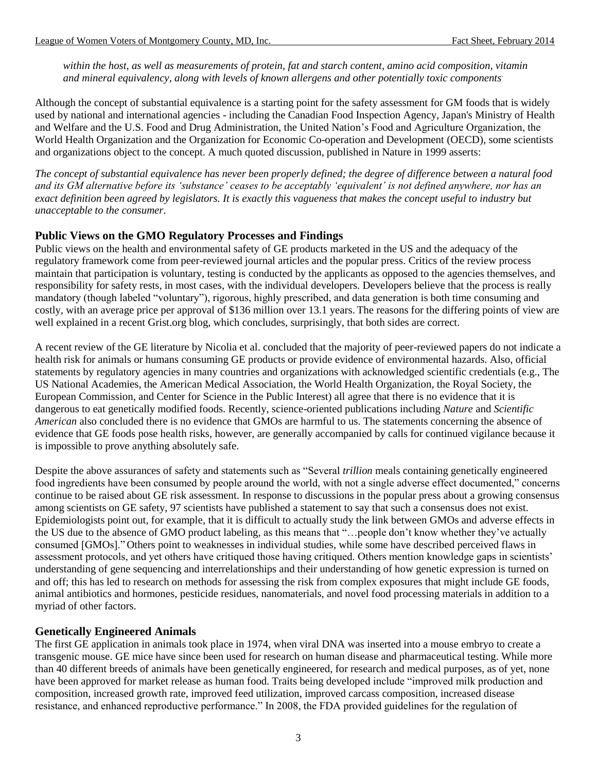*within the host, as well as measurements of protein, fat and starch content, amino acid composition, vitamin and mineral equivalency, along with levels of known allergens and other potentially toxic components*.

Although the concept of substantial equivalence is a starting point for the safety assessment for GM foods that is widely used by national and international agencies - including the Canadian Food Inspection Agency, Japan's Ministry of Health and Welfare and the U.S. Food and Drug Administration, the United Nation's Food and Agriculture Organization, the World Health Organization and the Organization for Economic Co-operation and Development (OECD), some scientists and organizations object to the concept. A much quoted discussion, published in Nature in 1999 asserts:

*The concept of substantial equivalence has never been properly defined; the degree of difference between a natural food and its GM alternative before its 'substance' ceases to be acceptably 'equivalent' is not defined anywhere, nor has an exact definition been agreed by legislators. It is exactly this vagueness that makes the concept useful to industry but unacceptable to the consumer.*

# **Public Views on the GMO Regulatory Processes and Findings**

Public views on the health and environmental safety of GE products marketed in the US and the adequacy of the regulatory framework come from peer-reviewed journal articles and the popular press. Critics of the review process maintain that participation is voluntary, testing is conducted by the applicants as opposed to the agencies themselves, and responsibility for safety rests, in most cases, with the individual developers. Developers believe that the process is really mandatory (though labeled "voluntary"), rigorous, highly prescribed, and data generation is both time consuming and costly, with an average price per approval of \$136 million over 13.1 years. The reasons for the differing points of view are well explained in a recent Grist.org blog, which concludes, surprisingly, that both sides are correct.

A recent review of the GE literature by Nicolia et al. concluded that the majority of peer-reviewed papers do not indicate a health risk for animals or humans consuming GE products or provide evidence of environmental hazards. Also, official statements by regulatory agencies in many countries and organizations with acknowledged scientific credentials (e.g., The US National Academies, the American Medical Association, the World Health Organization, the Royal Society, the European Commission, and Center for Science in the Public Interest) all agree that there is no evidence that it is dangerous to eat genetically modified foods. Recently, science-oriented publications including *Nature* and *Scientific American* also concluded there is no evidence that GMOs are harmful to us. The statements concerning the absence of evidence that GE foods pose health risks, however, are generally accompanied by calls for continued vigilance because it is impossible to prove anything absolutely safe.

Despite the above assurances of safety and statements such as "Several *trillion* meals containing genetically engineered food ingredients have been consumed by people around the world, with not a single adverse effect documented," concerns continue to be raised about GE risk assessment. In response to discussions in the popular press about a growing consensus among scientists on GE safety, 97 scientists have published a statement to say that such a consensus does not exist. Epidemiologists point out, for example, that it is difficult to actually study the link between GMOs and adverse effects in the US due to the absence of GMO product labeling, as this means that "…people don't know whether they've actually consumed [GMOs]." Others point to weaknesses in individual studies, while some have described perceived flaws in assessment protocols, and yet others have critiqued those having critiqued. Others mention knowledge gaps in scientists' understanding of gene sequencing and interrelationships and their understanding of how genetic expression is turned on and off; this has led to research on methods for assessing the risk from complex exposures that might include GE foods, animal antibiotics and hormones, pesticide residues, nanomaterials, and novel food processing materials in addition to a myriad of other factors.

# **Genetically Engineered Animals**

The first GE application in animals took place in 1974, when viral DNA was inserted into a mouse embryo to create a transgenic mouse. GE mice have since been used for research on human disease and pharmaceutical testing. While more than 40 different breeds of animals have been genetically engineered, for research and medical purposes, as of yet, none have been approved for market release as human food. Traits being developed include "improved milk production and composition, increased growth rate, improved feed utilization, improved carcass composition, increased disease resistance, and enhanced reproductive performance." In 2008, the FDA provided guidelines for the regulation of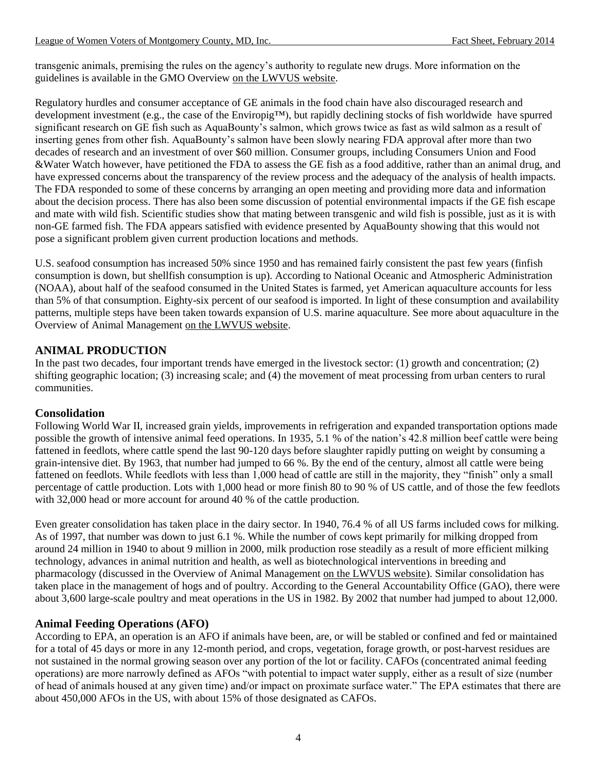transgenic animals, premising the rules on the agency's authority to regulate new drugs. More information on the guidelines is available in the GMO Overview [on the LWVUS](http://www.lwv.org/content/genetic-engineering-and-genetically-modified-organisms-food-system) website.

Regulatory hurdles and consumer acceptance of GE animals in the food chain have also discouraged research and development investment (e.g., the case of the Enviropig™), but rapidly declining stocks of fish worldwide have spurred significant research on GE fish such as AquaBounty's salmon, which grows twice as fast as wild salmon as a result of inserting genes from other fish. AquaBounty's salmon have been slowly nearing FDA approval after more than two decades of research and an investment of over \$60 million. Consumer groups, including Consumers Union and Food &Water Watch however, have petitioned the FDA to assess the GE fish as a food additive, rather than an animal drug, and have expressed concerns about the transparency of the review process and the adequacy of the analysis of health impacts. The FDA responded to some of these concerns by arranging an open meeting and providing more data and information about the decision process. There has also been some discussion of potential environmental impacts if the GE fish escape and mate with wild fish. Scientific studies show that mating between transgenic and wild fish is possible, just as it is with non-GE farmed fish. The FDA appears satisfied with evidence presented by AquaBounty showing that this would not pose a significant problem given current production locations and methods.

U.S. seafood consumption has increased 50% since 1950 and has remained fairly consistent the past few years (finfish consumption is down, but shellfish consumption is up). According to National Oceanic and Atmospheric Administration (NOAA), about half of the seafood consumed in the United States is farmed, yet American aquaculture accounts for less than 5% of that consumption. Eighty-six percent of our seafood is imported. In light of these consumption and availability patterns, multiple steps have been taken towards expansion of U.S. marine aquaculture. See more about aquaculture in the Overview of Animal Management [on the LWVUS website.](http://www.lwv.org/content/overview-animal-management)

# **ANIMAL PRODUCTION**

In the past two decades, four important trends have emerged in the livestock sector: (1) growth and concentration; (2) shifting geographic location; (3) increasing scale; and (4) the movement of meat processing from urban centers to rural communities.

# **Consolidation**

Following World War II, increased grain yields, improvements in refrigeration and expanded transportation options made possible the growth of intensive animal feed operations. In 1935, 5.1 % of the nation's 42.8 million beef cattle were being fattened in feedlots, where cattle spend the last 90-120 days before slaughter rapidly putting on weight by consuming a grain-intensive diet. By 1963, that number had jumped to 66 %. By the end of the century, almost all cattle were being fattened on feedlots. While feedlots with less than 1,000 head of cattle are still in the majority, they "finish" only a small percentage of cattle production. Lots with 1,000 head or more finish 80 to 90 % of US cattle, and of those the few feedlots with 32,000 head or more account for around 40 % of the cattle production.

Even greater consolidation has taken place in the dairy sector. In 1940, 76.4 % of all US farms included cows for milking. As of 1997, that number was down to just 6.1 %. While the number of cows kept primarily for milking dropped from around 24 million in 1940 to about 9 million in 2000, milk production rose steadily as a result of more efficient milking technology, advances in animal nutrition and health, as well as biotechnological interventions in breeding and pharmacology (discussed in the Overview of Animal Management [on the LWVUS website\)](http://www.lwv.org/content/overview-animal-management). Similar consolidation has taken place in the management of hogs and of poultry. According to the General Accountability Office (GAO), there were about 3,600 large-scale poultry and meat operations in the US in 1982. By 2002 that number had jumped to about 12,000.

# **Animal Feeding Operations (AFO)**

According to EPA, an operation is an AFO if animals have been, are, or will be stabled or confined and fed or maintained for a total of 45 days or more in any 12-month period, and crops, vegetation, forage growth, or post-harvest residues are not sustained in the normal growing season over any portion of the lot or facility. CAFOs (concentrated animal feeding operations) are more narrowly defined as AFOs "with potential to impact water supply, either as a result of size (number of head of animals housed at any given time) and/or impact on proximate surface water." The EPA estimates that there are about 450,000 AFOs in the US, with about 15% of those designated as CAFOs.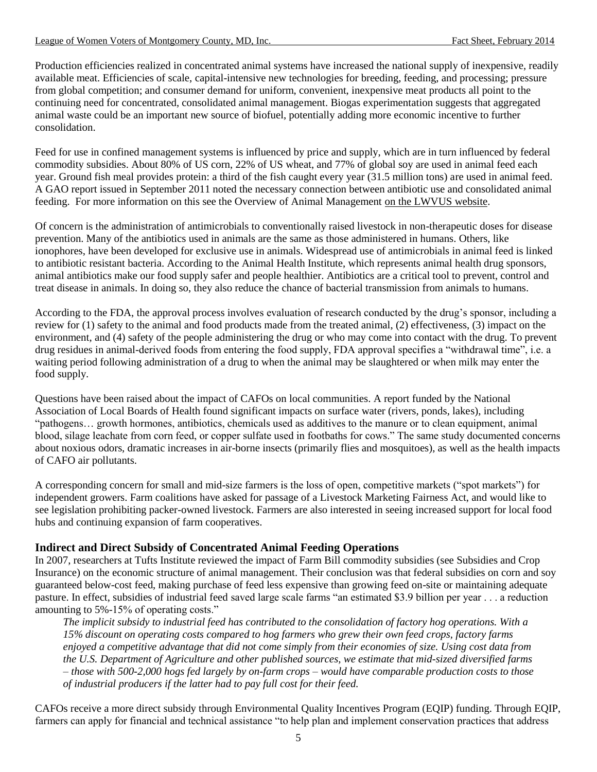Production efficiencies realized in concentrated animal systems have increased the national supply of inexpensive, readily available meat. Efficiencies of scale, capital-intensive new technologies for breeding, feeding, and processing; pressure from global competition; and consumer demand for uniform, convenient, inexpensive meat products all point to the continuing need for concentrated, consolidated animal management. Biogas experimentation suggests that aggregated animal waste could be an important new source of biofuel, potentially adding more economic incentive to further consolidation.

Feed for use in confined management systems is influenced by price and supply, which are in turn influenced by federal commodity subsidies. About 80% of US corn, 22% of US wheat, and 77% of global soy are used in animal feed each year. Ground fish meal provides protein: a third of the fish caught every year (31.5 million tons) are used in animal feed. A GAO report issued in September 2011 noted the necessary connection between antibiotic use and consolidated animal feeding. For more information on this see the Overview of Animal Management [on the LWVUS website.](http://www.lwv.org/content/overview-animal-management)

Of concern is the administration of antimicrobials to conventionally raised livestock in non-therapeutic doses for disease prevention. Many of the antibiotics used in animals are the same as those administered in humans. Others, like ionophores, have been developed for exclusive use in animals. Widespread use of antimicrobials in animal feed is linked to antibiotic resistant bacteria. According to the Animal Health Institute, which represents animal health drug sponsors, animal antibiotics make our food supply safer and people healthier. Antibiotics are a critical tool to prevent, control and treat disease in animals. In doing so, they also reduce the chance of bacterial transmission from animals to humans.

According to the FDA, the approval process involves evaluation of research conducted by the drug's sponsor, including a review for (1) safety to the animal and food products made from the treated animal, (2) effectiveness, (3) impact on the environment, and (4) safety of the people administering the drug or who may come into contact with the drug. To prevent drug residues in animal-derived foods from entering the food supply, FDA approval specifies a "withdrawal time", i.e. a waiting period following administration of a drug to when the animal may be slaughtered or when milk may enter the food supply.

Questions have been raised about the impact of CAFOs on local communities. A report funded by the National Association of Local Boards of Health found significant impacts on surface water (rivers, ponds, lakes), including "pathogens… growth hormones, antibiotics, chemicals used as additives to the manure or to clean equipment, animal blood, silage leachate from corn feed, or copper sulfate used in footbaths for cows." The same study documented concerns about noxious odors, dramatic increases in air-borne insects (primarily flies and mosquitoes), as well as the health impacts of CAFO air pollutants.

A corresponding concern for small and mid-size farmers is the loss of open, competitive markets ("spot markets") for independent growers. Farm coalitions have asked for passage of a Livestock Marketing Fairness Act, and would like to see legislation prohibiting packer-owned livestock. Farmers are also interested in seeing increased support for local food hubs and continuing expansion of farm cooperatives.

# **Indirect and Direct Subsidy of Concentrated Animal Feeding Operations**

In 2007, researchers at Tufts Institute reviewed the impact of Farm Bill commodity subsidies (see Subsidies and Crop Insurance) on the economic structure of animal management. Their conclusion was that federal subsidies on corn and soy guaranteed below-cost feed, making purchase of feed less expensive than growing feed on-site or maintaining adequate pasture. In effect, subsidies of industrial feed saved large scale farms "an estimated \$3.9 billion per year . . . a reduction amounting to 5%-15% of operating costs."

*The implicit subsidy to industrial feed has contributed to the consolidation of factory hog operations. With a 15% discount on operating costs compared to hog farmers who grew their own feed crops, factory farms enjoyed a competitive advantage that did not come simply from their economies of size. Using cost data from the U.S. Department of Agriculture and other published sources, we estimate that mid-sized diversified farms – those with 500-2,000 hogs fed largely by on-farm crops – would have comparable production costs to those of industrial producers if the latter had to pay full cost for their feed.*

CAFOs receive a more direct subsidy through Environmental Quality Incentives Program (EQIP) funding. Through EQIP, farmers can apply for financial and technical assistance "to help plan and implement conservation practices that address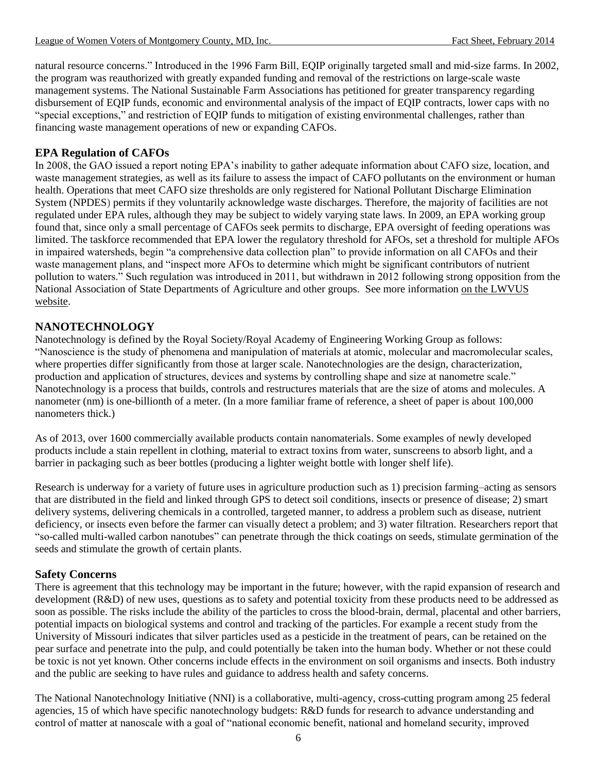natural resource concerns." Introduced in the 1996 Farm Bill, EQIP originally targeted small and mid-size farms. In 2002, the program was reauthorized with greatly expanded funding and removal of the restrictions on large-scale waste management systems. The National Sustainable Farm Associations has petitioned for greater transparency regarding disbursement of EQIP funds, economic and environmental analysis of the impact of EQIP contracts, lower caps with no "special exceptions," and restriction of EQIP funds to mitigation of existing environmental challenges, rather than financing waste management operations of new or expanding CAFOs.

# **EPA Regulation of CAFOs**

In 2008, the GAO issued a report noting EPA's inability to gather adequate information about CAFO size, location, and waste management strategies, as well as its failure to assess the impact of CAFO pollutants on the environment or human health. Operations that meet CAFO size thresholds are only registered for National Pollutant Discharge Elimination System (NPDES) permits if they voluntarily acknowledge waste discharges. Therefore, the majority of facilities are not regulated under EPA rules, although they may be subject to widely varying state laws. In 2009, an EPA working group found that, since only a small percentage of CAFOs seek permits to discharge, EPA oversight of feeding operations was limited. The taskforce recommended that EPA lower the regulatory threshold for AFOs, set a threshold for multiple AFOs in impaired watersheds, begin "a comprehensive data collection plan" to provide information on all CAFOs and their waste management plans, and "inspect more AFOs to determine which might be significant contributors of nutrient pollution to waters." Such regulation was introduced in 2011, but withdrawn in 2012 following strong opposition from the National Association of State Departments of Agriculture and other groups. See more information [on the LWVUS](http://www.lwv.org/content/overview-animal-management) [website.](http://www.lwv.org/content/overview-animal-management)

# **NANOTECHNOLOGY**

Nanotechnology is defined by the Royal Society/Royal Academy of Engineering Working Group as follows: "Nanoscience is the study of phenomena and manipulation of materials at atomic, molecular and macromolecular scales, where properties differ significantly from those at larger scale. Nanotechnologies are the design, characterization, production and application of structures, devices and systems by controlling shape and size at nanometre scale." Nanotechnology is a process that builds, controls and restructures materials that are the size of atoms and molecules. A nanometer (nm) is one-billionth of a meter. (In a more familiar frame of reference, a sheet of paper is about 100,000 nanometers thick.)

As of 2013, over 1600 commercially available products contain nanomaterials. Some examples of newly developed products include a stain repellent in clothing, material to extract toxins from water, sunscreens to absorb light, and a barrier in packaging such as beer bottles (producing a lighter weight bottle with longer shelf life).

Research is underway for a variety of future uses in agriculture production such as 1) precision farming–acting as sensors that are distributed in the field and linked through GPS to detect soil conditions, insects or presence of disease; 2) smart delivery systems, delivering chemicals in a controlled, targeted manner, to address a problem such as disease, nutrient deficiency, or insects even before the farmer can visually detect a problem; and 3) water filtration. Researchers report that "so-called multi-walled carbon nanotubes" can penetrate through the thick coatings on seeds, stimulate germination of the seeds and stimulate the growth of certain plants.

# **Safety Concerns**

There is agreement that this technology may be important in the future; however, with the rapid expansion of research and development (R&D) of new uses, questions as to safety and potential toxicity from these products need to be addressed as soon as possible. The risks include the ability of the particles to cross the blood-brain, dermal, placental and other barriers, potential impacts on biological systems and control and tracking of the particles. For example a recent study from the University of Missouri indicates that silver particles used as a pesticide in the treatment of pears, can be retained on the pear surface and penetrate into the pulp, and could potentially be taken into the human body. Whether or not these could be toxic is not yet known. Other concerns include effects in the environment on soil organisms and insects. Both industry and the public are seeking to have rules and guidance to address health and safety concerns.

The National Nanotechnology Initiative (NNI) is a collaborative, multi-agency, cross-cutting program among 25 federal agencies, 15 of which have specific nanotechnology budgets: R&D funds for research to advance understanding and control of matter at nanoscale with a goal of "national economic benefit, national and homeland security, improved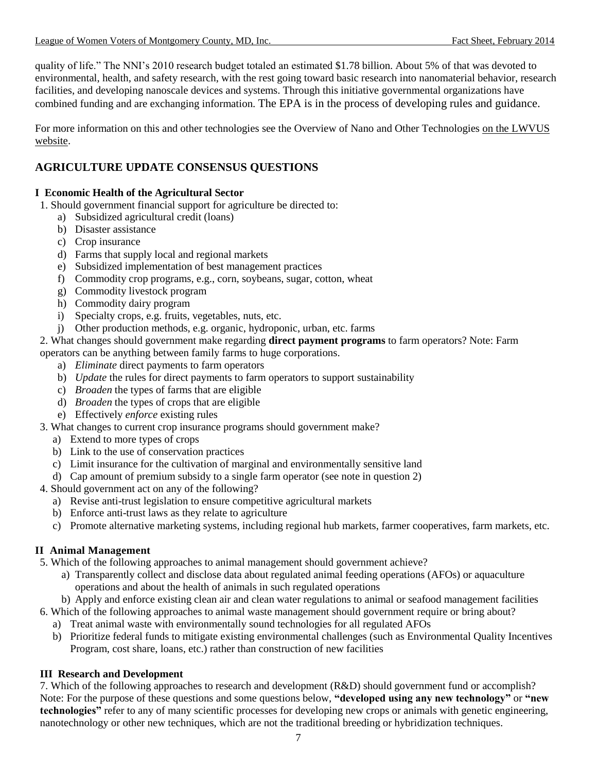quality of life." The NNI's 2010 research budget totaled an estimated \$1.78 billion. About 5% of that was devoted to environmental, health, and safety research, with the rest going toward basic research into nanomaterial behavior, research facilities, and developing nanoscale devices and systems. Through this initiative governmental organizations have combined funding and are exchanging information. The EPA is in the process of developing rules and guidance.

For more information on this and other technologies see the Overview of Nano and Other Technologies [on the LWVUS](http://www.lwv.org/content/overview-nanotechnology-and-other-technologies) [website.](http://www.lwv.org/content/overview-nanotechnology-and-other-technologies)

# **AGRICULTURE UPDATE CONSENSUS QUESTIONS**

# **I Economic Health of the Agricultural Sector**

- 1. Should government financial support for agriculture be directed to:
	- a) Subsidized agricultural credit (loans)
	- b) Disaster assistance
	- c) Crop insurance
	- d) Farms that supply local and regional markets
	- e) Subsidized implementation of best management practices
	- f) Commodity crop programs, e.g., corn, soybeans, sugar, cotton, wheat
	- g) Commodity livestock program
	- h) Commodity dairy program
	- i) Specialty crops, e.g. fruits, vegetables, nuts, etc.
	- j) Other production methods, e.g. organic, hydroponic, urban, etc. farms

# 2. What changes should government make regarding **direct payment programs** to farm operators? Note: Farm

operators can be anything between family farms to huge corporations.

- a) *Eliminate* direct payments to farm operators
- b) *Update* the rules for direct payments to farm operators to support sustainability
- c) *Broaden* the types of farms that are eligible
- d) *Broaden* the types of crops that are eligible
- e) Effectively *enforce* existing rules
- 3. What changes to current crop insurance programs should government make?
	- a) Extend to more types of crops
	- b) Link to the use of conservation practices
	- c) Limit insurance for the cultivation of marginal and environmentally sensitive land
	- d) Cap amount of premium subsidy to a single farm operator (see note in question 2)
- 4. Should government act on any of the following?
	- a) Revise anti-trust legislation to ensure competitive agricultural markets
	- b) Enforce anti-trust laws as they relate to agriculture
	- c) Promote alternative marketing systems, including regional hub markets, farmer cooperatives, farm markets, etc.

# **II Animal Management**

- 5. Which of the following approaches to animal management should government achieve?
	- a) Transparently collect and disclose data about regulated animal feeding operations (AFOs) or aquaculture operations and about the health of animals in such regulated operations
	- b) Apply and enforce existing clean air and clean water regulations to animal or seafood management facilities
- 6. Which of the following approaches to animal waste management should government require or bring about?
	- a) Treat animal waste with environmentally sound technologies for all regulated AFOs
	- b) Prioritize federal funds to mitigate existing environmental challenges (such as Environmental Quality Incentives Program, cost share, loans, etc.) rather than construction of new facilities

# **III Research and Development**

7. Which of the following approaches to research and development (R&D) should government fund or accomplish? Note: For the purpose of these questions and some questions below, **"developed using any new technology"** or **"new technologies"** refer to any of many scientific processes for developing new crops or animals with genetic engineering, nanotechnology or other new techniques, which are not the traditional breeding or hybridization techniques.